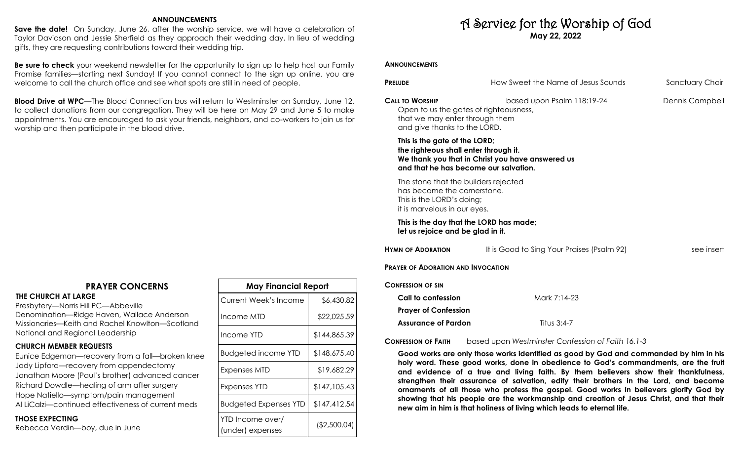## **ANNOUNCEMENTS**

**Save the date!** On Sunday, June 26, after the worship service, we will have a celebration of Taylor Davidson and Jessie Sherfield as they approach their wedding day. In lieu of wedding gifts, they are requesting contributions toward their wedding trip.

**Be sure to check** your weekend newsletter for the opportunity to sign up to help host our Family Promise families—starting next Sunday! If you cannot connect to the sign up online, you are welcome to call the church office and see what spots are still in need of people.

**Blood Drive at WPC**—The Blood Connection bus will return to Westminster on Sunday, June 12, to collect donations from our congregation. They will be here on May 29 and June 5 to make appointments. You are encouraged to ask your friends, neighbors, and co-workers to join us for worship and then participate in the blood drive.

## **PRAYER CONCERNS**

**THE CHURCH AT LARGE**  Presbytery—Norris Hill PC—Abbeville

Denomination—Ridge Haven, Wallace Anderson Missionaries—Keith and Rachel Knowlton—Scotland National and Regional Leadership

## **CHURCH MEMBER REQUESTS**

Eunice Edgeman—recovery from a fall—broken knee Jody Lipford—recovery from appendectomy Jonathan Moore (Paul's brother) advanced cancer Richard Dowdle—healing of arm after surgery Hope Natiello—symptom/pain management Al LiCalzi—continued effectiveness of current meds

## **THOSE EXPECTING**

Rebecca Verdin—boy, due in June

| <b>May Financial Report</b>          |              |  |  |
|--------------------------------------|--------------|--|--|
| Current Week's Income                | \$6,430.82   |  |  |
| Income MTD                           | \$22,025.59  |  |  |
| Income YTD                           | \$144,865.39 |  |  |
| <b>Budgeted income YTD</b>           | \$148,675.40 |  |  |
| Expenses MTD                         | \$19,682.29  |  |  |
| Expenses YTD                         | \$147,105.43 |  |  |
| <b>Budgeted Expenses YTD</b>         | \$147,412.54 |  |  |
| YTD Income over/<br>(under) expenses | (\$2,500.04) |  |  |

# A Service for the Worship of God **May 22, 2022**

## **ANNOUNCEMENTS**

| <b>PRELUDE</b>                                                                                                                     | How Sweet the Name of Jesus Sounds               | Sanctuary Choir |
|------------------------------------------------------------------------------------------------------------------------------------|--------------------------------------------------|-----------------|
| <b>CALL TO WORSHIP</b><br>Open to us the gates of righteousness,<br>that we may enter through them<br>and give thanks to the LORD. | based upon Psalm 118:19-24                       | Dennis Campbell |
| This is the gate of the LORD;<br>the righteous shall enter through it.<br>and that he has become our salvation.                    | We thank you that in Christ you have answered us |                 |
| The stone that the builders rejected<br>has become the cornerstone.<br>This is the LORD's doing;<br>it is marvelous in our eyes.   |                                                  |                 |
| This is the day that the LORD has made;<br>let us rejoice and be glad in it.                                                       |                                                  |                 |
| <b>HYMN OF ADORATION</b>                                                                                                           | It is Good to Sing Your Praises (Psalm 92)       | see insert      |
| <b>PRAYER OF ADORATION AND INVOCATION</b>                                                                                          |                                                  |                 |
| <b>CONFESSION OF SIN</b>                                                                                                           |                                                  |                 |
| Call to confession                                                                                                                 | Mark 7:14-23                                     |                 |
| <b>Prayer of Confession</b>                                                                                                        |                                                  |                 |
| <b>Assurance of Pardon</b>                                                                                                         | Titus 3:4-7                                      |                 |

**CONFESSION OF FAITH** based upon *Westminster Confession of Faith 16.1-3*

**Good works are only those works identified as good by God and commanded by him in his holy word. These good works, done in obedience to God's commandments, are the fruit and evidence of a true and living faith. By them believers show their thankfulness, strengthen their assurance of salvation, edify their brothers in the Lord, and become ornaments of all those who profess the gospel. Good works in believers glorify God by showing that his people are the workmanship and creation of Jesus Christ, and that their new aim in him is that holiness of living which leads to eternal life.**